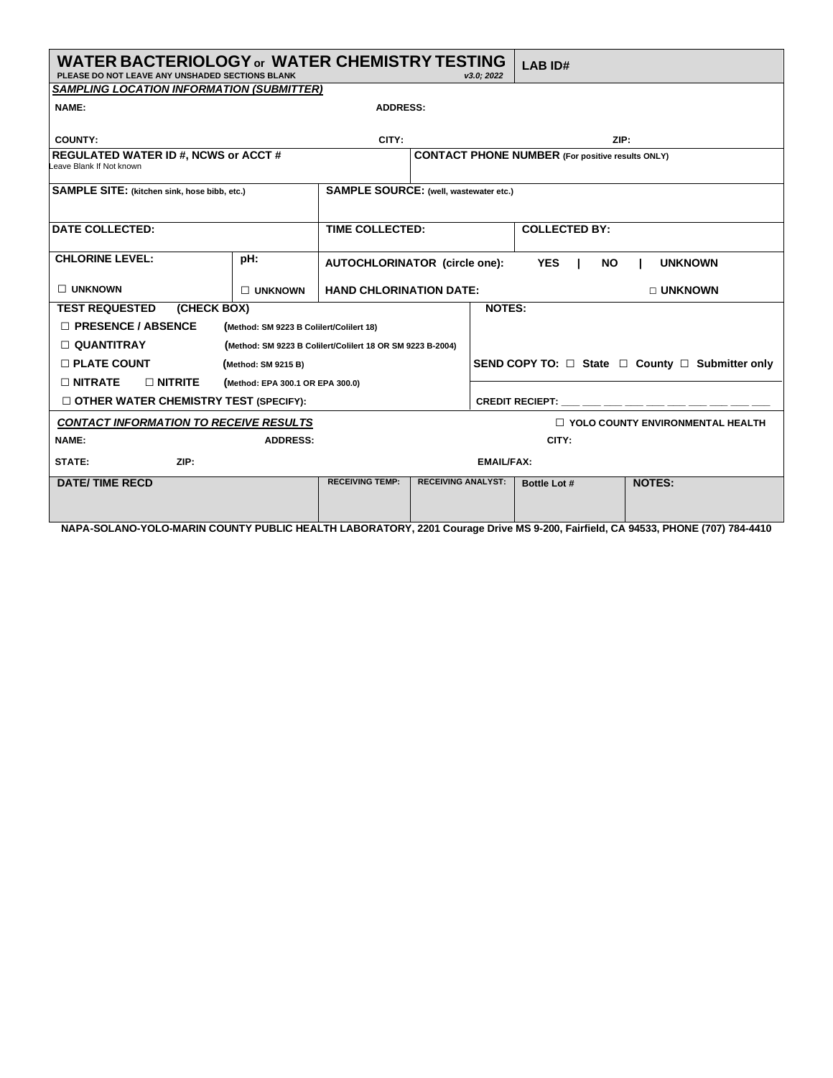| <b>WATER BACTERIOLOGY or WATER CHEMISTRY TESTING</b><br>PLEASE DO NOT LEAVE ANY UNSHADED SECTIONS BLANK<br>v3.0: 2022                                                                                                                                                                                                     |                                          |                                               |                           | <b>LAB ID#</b>                                                 |                                                         |                                         |  |  |
|---------------------------------------------------------------------------------------------------------------------------------------------------------------------------------------------------------------------------------------------------------------------------------------------------------------------------|------------------------------------------|-----------------------------------------------|---------------------------|----------------------------------------------------------------|---------------------------------------------------------|-----------------------------------------|--|--|
| <b>SAMPLING LOCATION INFORMATION (SUBMITTER)</b>                                                                                                                                                                                                                                                                          |                                          |                                               |                           |                                                                |                                                         |                                         |  |  |
| NAME:<br><b>ADDRESS:</b>                                                                                                                                                                                                                                                                                                  |                                          |                                               |                           |                                                                |                                                         |                                         |  |  |
| <b>COUNTY:</b>                                                                                                                                                                                                                                                                                                            |                                          | CITY:                                         |                           |                                                                | ZIP:                                                    |                                         |  |  |
| <b>REGULATED WATER ID #, NCWS or ACCT #</b><br>Leave Blank If Not known                                                                                                                                                                                                                                                   |                                          |                                               |                           |                                                                | <b>CONTACT PHONE NUMBER (For positive results ONLY)</b> |                                         |  |  |
| <b>SAMPLE SITE:</b> (kitchen sink, hose bibb, etc.)                                                                                                                                                                                                                                                                       |                                          | <b>SAMPLE SOURCE: (well, wastewater etc.)</b> |                           |                                                                |                                                         |                                         |  |  |
| <b>DATE COLLECTED:</b>                                                                                                                                                                                                                                                                                                    |                                          | <b>TIME COLLECTED:</b>                        |                           |                                                                | <b>COLLECTED BY:</b>                                    |                                         |  |  |
| <b>CHLORINE LEVEL:</b>                                                                                                                                                                                                                                                                                                    | pH:                                      | <b>AUTOCHLORINATOR (circle one):</b>          |                           |                                                                | <b>YES</b><br><b>NO</b>                                 | <b>UNKNOWN</b>                          |  |  |
| $\Box$ UNKNOWN                                                                                                                                                                                                                                                                                                            | $\Box$ UNKNOWN                           | <b>HAND CHLORINATION DATE:</b>                |                           |                                                                |                                                         | □ UNKNOWN                               |  |  |
| (CHECK BOX)<br><b>TEST REQUESTED</b>                                                                                                                                                                                                                                                                                      |                                          |                                               |                           | <b>NOTES:</b>                                                  |                                                         |                                         |  |  |
| □ PRESENCE / ABSENCE                                                                                                                                                                                                                                                                                                      | (Method: SM 9223 B Colilert/Colilert 18) |                                               |                           |                                                                |                                                         |                                         |  |  |
| $\Box$ QUANTITRAY<br>(Method: SM 9223 B Colilert/Colilert 18 OR SM 9223 B-2004)                                                                                                                                                                                                                                           |                                          |                                               |                           |                                                                |                                                         |                                         |  |  |
| <b>D PLATE COUNT</b><br>(Method: SM 9215 B)                                                                                                                                                                                                                                                                               |                                          |                                               |                           | SEND COPY TO: $\Box$ State $\Box$ County $\Box$ Submitter only |                                                         |                                         |  |  |
| $\Box$ NITRATE<br>$\Box$ NITRITE<br>(Method: EPA 300.1 OR EPA 300.0)                                                                                                                                                                                                                                                      |                                          |                                               |                           |                                                                |                                                         |                                         |  |  |
| OTHER WATER CHEMISTRY TEST (SPECIFY):                                                                                                                                                                                                                                                                                     |                                          | CREDIT RECIEPT: ___ ___ ___ ___ ___ ___ ___   |                           |                                                                |                                                         |                                         |  |  |
| <b>CONTACT INFORMATION TO RECEIVE RESULTS</b>                                                                                                                                                                                                                                                                             |                                          |                                               |                           |                                                                |                                                         | $\Box$ YOLO COUNTY ENVIRONMENTAL HEALTH |  |  |
| NAME:<br><b>ADDRESS:</b>                                                                                                                                                                                                                                                                                                  |                                          |                                               | CITY:                     |                                                                |                                                         |                                         |  |  |
| ZIP:<br>STATE:                                                                                                                                                                                                                                                                                                            |                                          | <b>EMAIL/FAX:</b>                             |                           |                                                                |                                                         |                                         |  |  |
| <b>DATE/TIME RECD</b><br>$\mathbf{A}$ and $\mathbf{A}$ and $\mathbf{A}$ and $\mathbf{A}$ and $\mathbf{A}$ and $\mathbf{A}$ and $\mathbf{A}$ and $\mathbf{A}$ and $\mathbf{A}$ and $\mathbf{A}$ and $\mathbf{A}$ and $\mathbf{A}$ and $\mathbf{A}$ and $\mathbf{A}$ and $\mathbf{A}$ and $\mathbf{A}$ and $\mathbf{A}$ and |                                          | <b>RECEIVING TEMP:</b>                        | <b>RECEIVING ANALYST:</b> |                                                                | Bottle Lot #                                            | <b>NOTES:</b>                           |  |  |

**NAPA-SOLANO-YOLO-MARIN COUNTY PUBLIC HEALTH LABORATORY, 2201 Courage Drive MS 9-200, Fairfield, CA 94533, PHONE (707) 784-4410**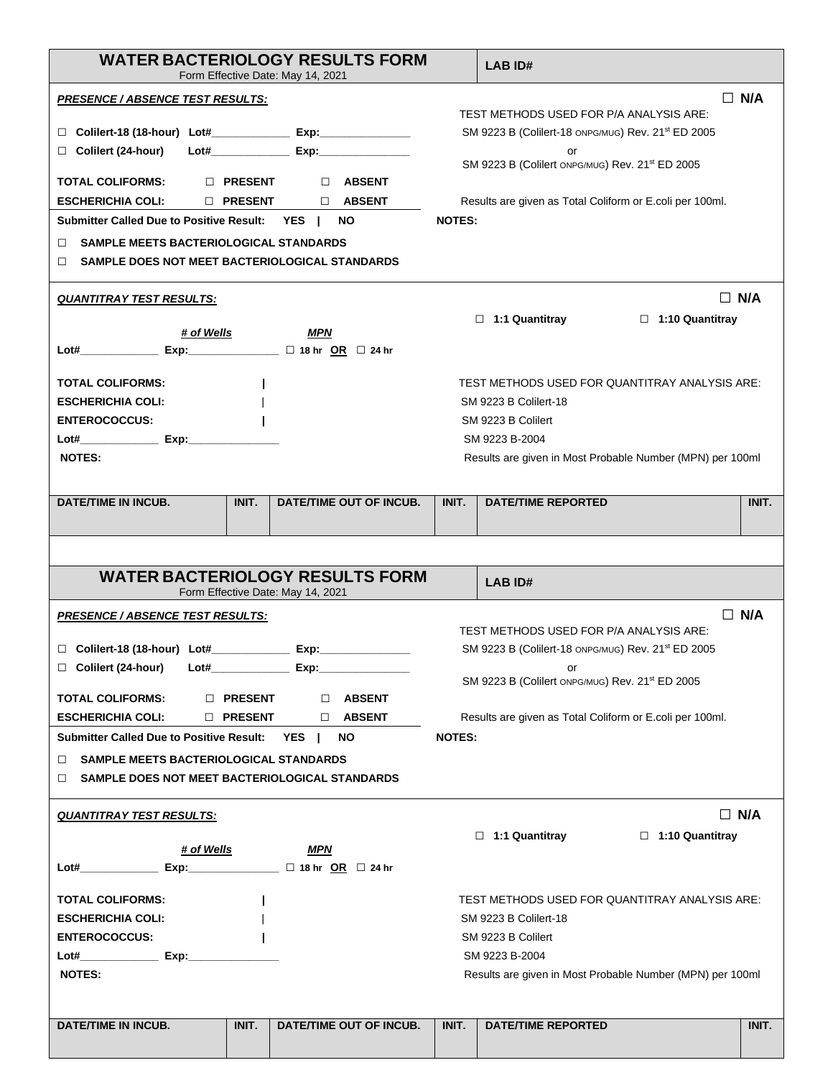|                                                                                                           |                | <b>WATER BACTERIOLOGY RESULTS FORM</b><br>Form Effective Date: May 14, 2021 |                | LAB ID#                                                                                       |  |  |  |  |
|-----------------------------------------------------------------------------------------------------------|----------------|-----------------------------------------------------------------------------|----------------|-----------------------------------------------------------------------------------------------|--|--|--|--|
| <u> PRESENCE / ABSENCE TEST RESULTS:</u>                                                                  |                |                                                                             |                | $\Box$ N/A                                                                                    |  |  |  |  |
| ⊔                                                                                                         |                |                                                                             |                | TEST METHODS USED FOR P/A ANALYSIS ARE:<br>SM 9223 B (Colilert-18 ONPG/MUG) Rev. 21st ED 2005 |  |  |  |  |
| Colilert (24-hour)<br>□                                                                                   |                |                                                                             |                | or                                                                                            |  |  |  |  |
|                                                                                                           |                |                                                                             |                | SM 9223 B (Collert ONPG/MUG) Rev. 21 <sup>st</sup> ED 2005                                    |  |  |  |  |
| TOTAL COLIFORMS:                                                                                          | $\Box$ PRESENT | D ABSENT                                                                    |                |                                                                                               |  |  |  |  |
| <b>ESCHERICHIA COLI:</b>                                                                                  | D PRESENT      | <b>NO ABSENT</b>                                                            |                | Results are given as Total Coliform or E.coli per 100ml.                                      |  |  |  |  |
| Submitter Called Due to Positive Result: YES                                                              |                | NO.                                                                         | <b>NOTES:</b>  |                                                                                               |  |  |  |  |
| <b>SAMPLE MEETS BACTERIOLOGICAL STANDARDS</b><br>п<br>SAMPLE DOES NOT MEET BACTERIOLOGICAL STANDARDS<br>п |                |                                                                             |                |                                                                                               |  |  |  |  |
| <b>QUANTITRAY TEST RESULTS:</b>                                                                           |                |                                                                             |                | $\Box$ N/A                                                                                    |  |  |  |  |
|                                                                                                           |                |                                                                             |                | $\Box$ 1:1 Quantitray<br>$\Box$ 1:10 Quantitray                                               |  |  |  |  |
| <u># of Wells</u>                                                                                         |                | MPN                                                                         |                |                                                                                               |  |  |  |  |
|                                                                                                           |                |                                                                             |                |                                                                                               |  |  |  |  |
| <b>TOTAL COLIFORMS:</b>                                                                                   |                |                                                                             |                | TEST METHODS USED FOR QUANTITRAY ANALYSIS ARE:                                                |  |  |  |  |
| <b>ESCHERICHIA COLI:</b>                                                                                  |                |                                                                             |                | SM 9223 B Colilert-18                                                                         |  |  |  |  |
| <b>ENTEROCOCCUS:</b>                                                                                      |                |                                                                             |                | SM 9223 B Colilert                                                                            |  |  |  |  |
|                                                                                                           |                |                                                                             | SM 9223 B-2004 |                                                                                               |  |  |  |  |
| <b>NOTES:</b>                                                                                             |                |                                                                             |                | Results are given in Most Probable Number (MPN) per 100ml                                     |  |  |  |  |
| <b>DATE/TIME IN INCUB.</b>                                                                                | INIT.          | DATE/TIME OUT OF INCUB.                                                     | INIT.          | <b>DATE/TIME REPORTED</b><br>INIT.                                                            |  |  |  |  |
|                                                                                                           |                |                                                                             |                |                                                                                               |  |  |  |  |
|                                                                                                           |                |                                                                             |                |                                                                                               |  |  |  |  |
|                                                                                                           |                |                                                                             |                |                                                                                               |  |  |  |  |
|                                                                                                           |                | <b>WATER BACTERIOLOGY RESULTS FORM</b>                                      |                | LAB ID#                                                                                       |  |  |  |  |
|                                                                                                           |                | Form Effective Date: May 14, 2021                                           |                |                                                                                               |  |  |  |  |
| <b>PRESENCE / ABSENCE TEST RESULTS:</b>                                                                   |                |                                                                             |                | $\Box$ N/A                                                                                    |  |  |  |  |
|                                                                                                           |                |                                                                             |                | TEST METHODS USED FOR P/A ANALYSIS ARE:                                                       |  |  |  |  |
|                                                                                                           |                |                                                                             |                | SM 9223 B (Colilert-18 ONPG/MUG) Rev. 21st ED 2005                                            |  |  |  |  |
| $\Box$ Colilert (24-hour)                                                                                 |                | $\mathsf{Lot\#}$ Exp:                                                       |                | or<br>SM 9223 B (Collert ONPG/MUG) Rev. 21 <sup>st</sup> ED 2005                              |  |  |  |  |
| <b>TOTAL COLIFORMS:</b>                                                                                   | D PRESENT      | D ABSENT                                                                    |                |                                                                                               |  |  |  |  |
| <b>ESCHERICHIA COLI:</b>                                                                                  | D PRESENT      | $\Box$ ABSENT                                                               |                | Results are given as Total Coliform or E.coli per 100ml.                                      |  |  |  |  |
| Submitter Called Due to Positive Result: YES                                                              |                | NO.                                                                         | <b>NOTES:</b>  |                                                                                               |  |  |  |  |
| SAMPLE MEETS BACTERIOLOGICAL STANDARDS<br>п                                                               |                |                                                                             |                |                                                                                               |  |  |  |  |
| SAMPLE DOES NOT MEET BACTERIOLOGICAL STANDARDS<br>п                                                       |                |                                                                             |                |                                                                                               |  |  |  |  |
| <b>QUANTITRAY TEST RESULTS:</b>                                                                           |                |                                                                             |                | $\Box$ N/A                                                                                    |  |  |  |  |
|                                                                                                           |                |                                                                             |                | $\Box$ 1:1 Quantitray<br>$\Box$ 1:10 Quantitray                                               |  |  |  |  |
| # of Wells                                                                                                |                | MPN                                                                         |                |                                                                                               |  |  |  |  |
|                                                                                                           |                |                                                                             |                |                                                                                               |  |  |  |  |
| <b>TOTAL COLIFORMS:</b>                                                                                   |                |                                                                             |                | TEST METHODS USED FOR QUANTITRAY ANALYSIS ARE:                                                |  |  |  |  |
| <b>ESCHERICHIA COLI:</b>                                                                                  |                |                                                                             |                | <b>SM 9223 B Collert-18</b>                                                                   |  |  |  |  |
| <b>ENTEROCOCCUS:</b>                                                                                      |                |                                                                             |                | SM 9223 B Colilert                                                                            |  |  |  |  |
| $Lot#$ Exp:                                                                                               |                |                                                                             |                | SM 9223 B-2004                                                                                |  |  |  |  |
| NOTES:                                                                                                    |                |                                                                             |                | Results are given in Most Probable Number (MPN) per 100ml                                     |  |  |  |  |